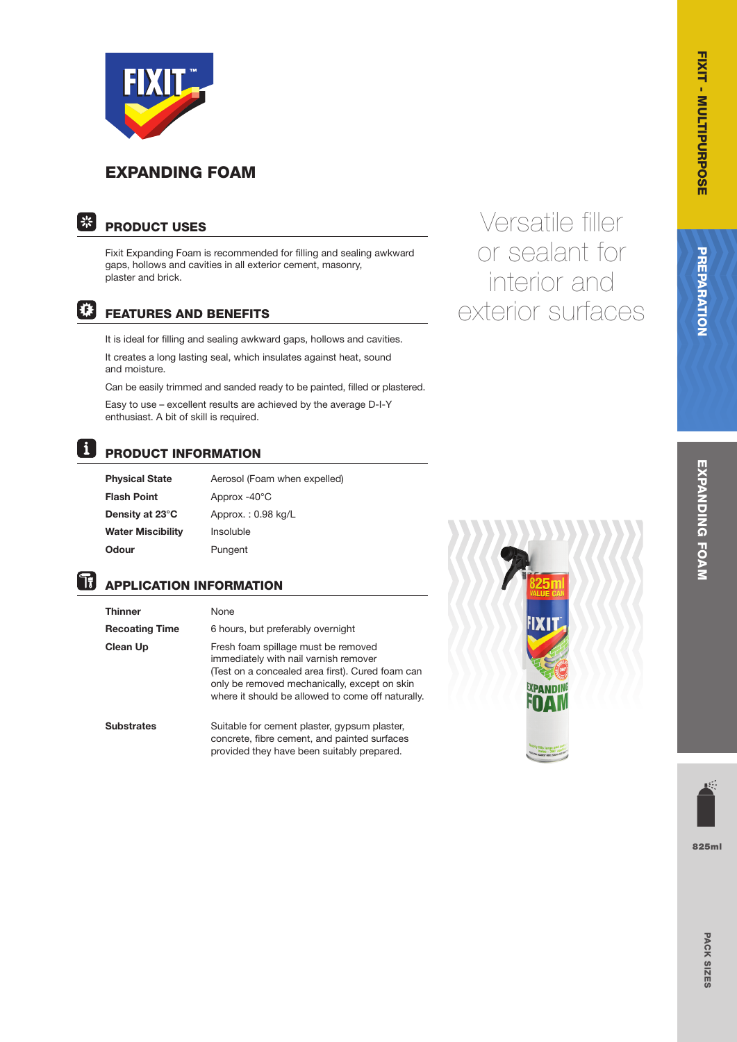

## EXPANDING FOAM



## PRODUCT USES

Fixit Expanding Foam is recommended for filling and sealing awkward gaps, hollows and cavities in all exterior cement, masonry, plaster and brick.

## |销

### FEATURES AND BENEFITS

It is ideal for filling and sealing awkward gaps, hollows and cavities.

It creates a long lasting seal, which insulates against heat, sound and moisture.

Can be easily trimmed and sanded ready to be painted, filled or plastered.

Easy to use – excellent results are achieved by the average D-I-Y enthusiast. A bit of skill is required.

#### **H** PRODUCT INFORMATION

| Physical State    | Aerosol (Foam when expelled) |
|-------------------|------------------------------|
| Flash Point       | Approx $-40^{\circ}$ C       |
| Density at 23°C   | Approx.: $0.98$ kg/L         |
| Water Miscibility | Insoluble                    |
| Odour             | Pungent                      |

# **APPLICATION INFORMATION**

| <b>Thinner</b>        | None                                                                                                                                                                                                                                  |
|-----------------------|---------------------------------------------------------------------------------------------------------------------------------------------------------------------------------------------------------------------------------------|
| <b>Recoating Time</b> | 6 hours, but preferably overnight                                                                                                                                                                                                     |
| Clean Up              | Fresh foam spillage must be removed<br>immediately with nail varnish remover<br>(Test on a concealed area first). Cured foam can<br>only be removed mechanically, except on skin<br>where it should be allowed to come off naturally. |
| <b>Substrates</b>     | Suitable for cement plaster, gypsum plaster,<br>concrete, fibre cement, and painted surfaces<br>provided they have been suitably prepared.                                                                                            |



Versatile filler

or sealant for

interior and

exterior surfaces